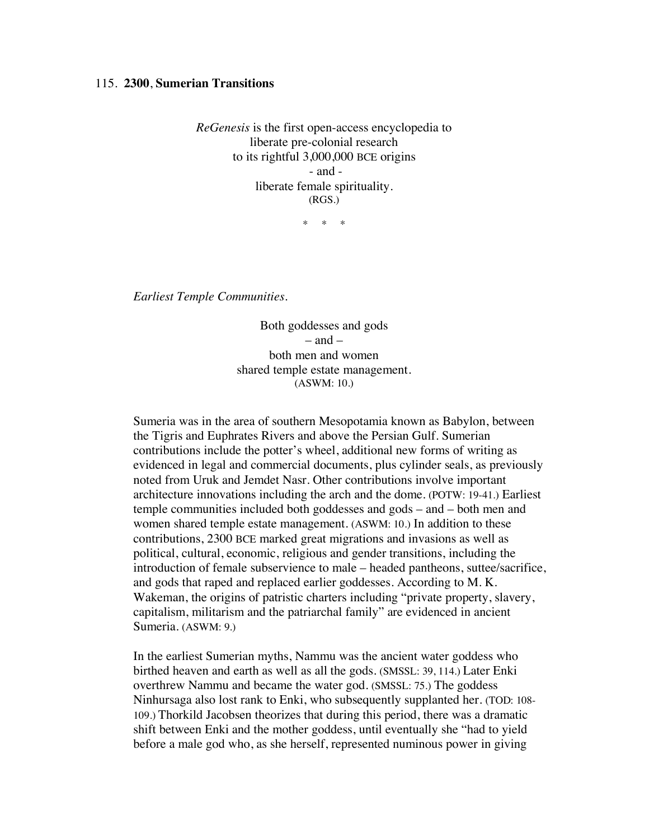## 115. **2300**, **Sumerian Transitions**

*ReGenesis* is the first open-access encyclopedia to liberate pre-colonial research to its rightful 3,000,000 BCE origins - and liberate female spirituality. (RGS.)

 $*$  \*

*Earliest Temple Communities.*

Both goddesses and gods – and – both men and women shared temple estate management. (ASWM: 10.)

Sumeria was in the area of southern Mesopotamia known as Babylon, between the Tigris and Euphrates Rivers and above the Persian Gulf. Sumerian contributions include the potter's wheel, additional new forms of writing as evidenced in legal and commercial documents, plus cylinder seals, as previously noted from Uruk and Jemdet Nasr. Other contributions involve important architecture innovations including the arch and the dome. (POTW: 19-41.) Earliest temple communities included both goddesses and gods – and – both men and women shared temple estate management. (ASWM: 10.) In addition to these contributions, 2300 BCE marked great migrations and invasions as well as political, cultural, economic, religious and gender transitions, including the introduction of female subservience to male – headed pantheons, suttee/sacrifice, and gods that raped and replaced earlier goddesses. According to M. K. Wakeman, the origins of patristic charters including "private property, slavery, capitalism, militarism and the patriarchal family" are evidenced in ancient Sumeria. (ASWM: 9.)

In the earliest Sumerian myths, Nammu was the ancient water goddess who birthed heaven and earth as well as all the gods. (SMSSL: 39, 114.) Later Enki overthrew Nammu and became the water god. (SMSSL: 75.) The goddess Ninhursaga also lost rank to Enki, who subsequently supplanted her. (TOD: 108- 109.) Thorkild Jacobsen theorizes that during this period, there was a dramatic shift between Enki and the mother goddess, until eventually she "had to yield before a male god who, as she herself, represented numinous power in giving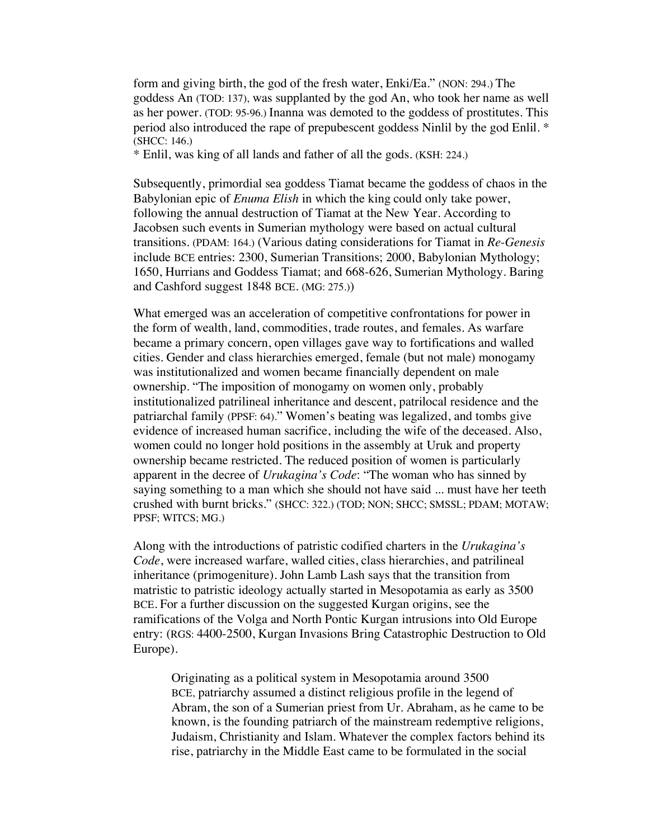form and giving birth, the god of the fresh water, Enki/Ea." (NON: 294.) The goddess An (TOD: 137), was supplanted by the god An, who took her name as well as her power. (TOD: 95-96.) Inanna was demoted to the goddess of prostitutes. This period also introduced the rape of prepubescent goddess Ninlil by the god Enlil. \* (SHCC: 146.)

\* Enlil, was king of all lands and father of all the gods. (KSH: 224.)

Subsequently, primordial sea goddess Tiamat became the goddess of chaos in the Babylonian epic of *Enuma Elish* in which the king could only take power, following the annual destruction of Tiamat at the New Year. According to Jacobsen such events in Sumerian mythology were based on actual cultural transitions. (PDAM: 164.) (Various dating considerations for Tiamat in *Re-Genesis* include BCE entries: 2300, Sumerian Transitions; 2000, Babylonian Mythology; 1650, Hurrians and Goddess Tiamat; and 668-626, Sumerian Mythology. Baring and Cashford suggest 1848 BCE. (MG: 275.))

What emerged was an acceleration of competitive confrontations for power in the form of wealth, land, commodities, trade routes, and females. As warfare became a primary concern, open villages gave way to fortifications and walled cities. Gender and class hierarchies emerged, female (but not male) monogamy was institutionalized and women became financially dependent on male ownership. "The imposition of monogamy on women only, probably institutionalized patrilineal inheritance and descent, patrilocal residence and the patriarchal family (PPSF: 64)." Women's beating was legalized, and tombs give evidence of increased human sacrifice, including the wife of the deceased. Also, women could no longer hold positions in the assembly at Uruk and property ownership became restricted. The reduced position of women is particularly apparent in the decree of *Urukagina's Code*: "The woman who has sinned by saying something to a man which she should not have said ... must have her teeth crushed with burnt bricks." (SHCC: 322.) (TOD; NON; SHCC; SMSSL; PDAM; MOTAW; PPSF; WITCS; MG.)

Along with the introductions of patristic codified charters in the *Urukagina's Code*, were increased warfare, walled cities, class hierarchies, and patrilineal inheritance (primogeniture). John Lamb Lash says that the transition from matristic to patristic ideology actually started in Mesopotamia as early as 3500 BCE. For a further discussion on the suggested Kurgan origins, see the ramifications of the Volga and North Pontic Kurgan intrusions into Old Europe entry: (RGS: 4400-2500, Kurgan Invasions Bring Catastrophic Destruction to Old Europe).

Originating as a political system in Mesopotamia around 3500 BCE, patriarchy assumed a distinct religious profile in the legend of Abram, the son of a Sumerian priest from Ur. Abraham, as he came to be known, is the founding patriarch of the mainstream redemptive religions, Judaism, Christianity and Islam. Whatever the complex factors behind its rise, patriarchy in the Middle East came to be formulated in the social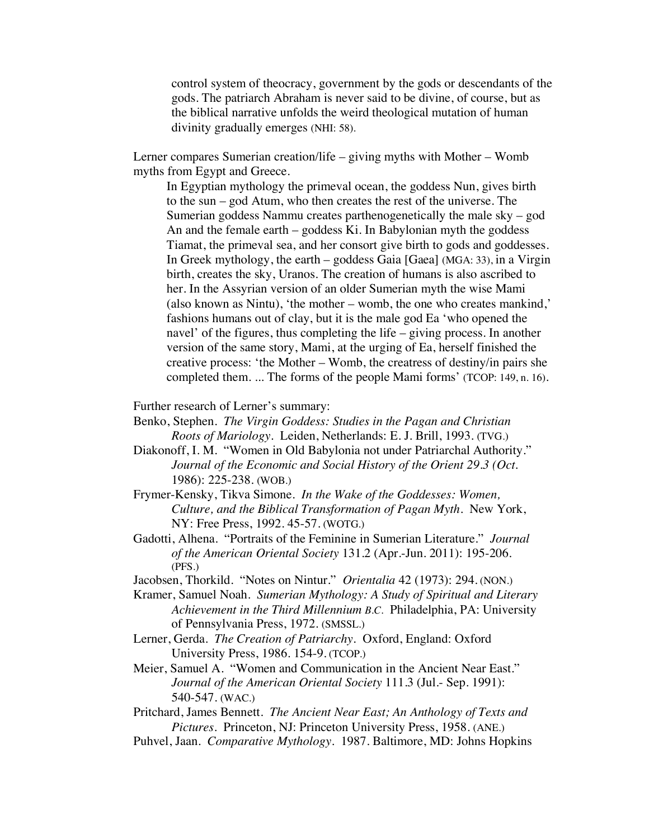control system of theocracy, government by the gods or descendants of the gods. The patriarch Abraham is never said to be divine, of course, but as the biblical narrative unfolds the weird theological mutation of human divinity gradually emerges (NHI: 58).

Lerner compares Sumerian creation/life – giving myths with Mother – Womb myths from Egypt and Greece.

In Egyptian mythology the primeval ocean, the goddess Nun, gives birth to the sun – god Atum, who then creates the rest of the universe. The Sumerian goddess Nammu creates parthenogenetically the male sky – god An and the female earth – goddess Ki. In Babylonian myth the goddess Tiamat, the primeval sea, and her consort give birth to gods and goddesses. In Greek mythology, the earth – goddess Gaia [Gaea] (MGA: 33), in a Virgin birth, creates the sky, Uranos. The creation of humans is also ascribed to her. In the Assyrian version of an older Sumerian myth the wise Mami (also known as Nintu), 'the mother – womb, the one who creates mankind,' fashions humans out of clay, but it is the male god Ea 'who opened the navel' of the figures, thus completing the life – giving process. In another version of the same story, Mami, at the urging of Ea, herself finished the creative process: 'the Mother – Womb, the creatress of destiny/in pairs she completed them. ... The forms of the people Mami forms' (TCOP: 149, n. 16).

Further research of Lerner's summary:

- Benko, Stephen. *The Virgin Goddess: Studies in the Pagan and Christian Roots of Mariology*. Leiden, Netherlands: E. J. Brill, 1993. (TVG.)
- Diakonoff, I. M. "Women in Old Babylonia not under Patriarchal Authority." *Journal of the Economic and Social History of the Orient 29.3 (Oct.*  1986): 225-238. (WOB.)
- Frymer-Kensky, Tikva Simone. *In the Wake of the Goddesses: Women, Culture, and the Biblical Transformation of Pagan Myth*. New York, NY: Free Press, 1992. 45-57. (WOTG.)
- Gadotti, Alhena. "Portraits of the Feminine in Sumerian Literature." *Journal of the American Oriental Society* 131.2 (Apr.-Jun. 2011): 195-206. (PFS.)
- Jacobsen, Thorkild. "Notes on Nintur." *Orientalia* 42 (1973): 294. (NON.)
- Kramer, Samuel Noah. *Sumerian Mythology: A Study of Spiritual and Literary Achievement in the Third Millennium B.C.* Philadelphia, PA: University of Pennsylvania Press, 1972. (SMSSL.)
- Lerner, Gerda. *The Creation of Patriarchy.* Oxford, England: Oxford University Press, 1986. 154-9. (TCOP.)
- Meier, Samuel A. "Women and Communication in the Ancient Near East." *Journal of the American Oriental Society* 111.3 (Jul.- Sep. 1991): 540-547. (WAC.)
- Pritchard, James Bennett. *The Ancient Near East; An Anthology of Texts and Pictures*. Princeton, NJ: Princeton University Press, 1958. (ANE.)
- Puhvel, Jaan. *Comparative Mythology*. 1987. Baltimore, MD: Johns Hopkins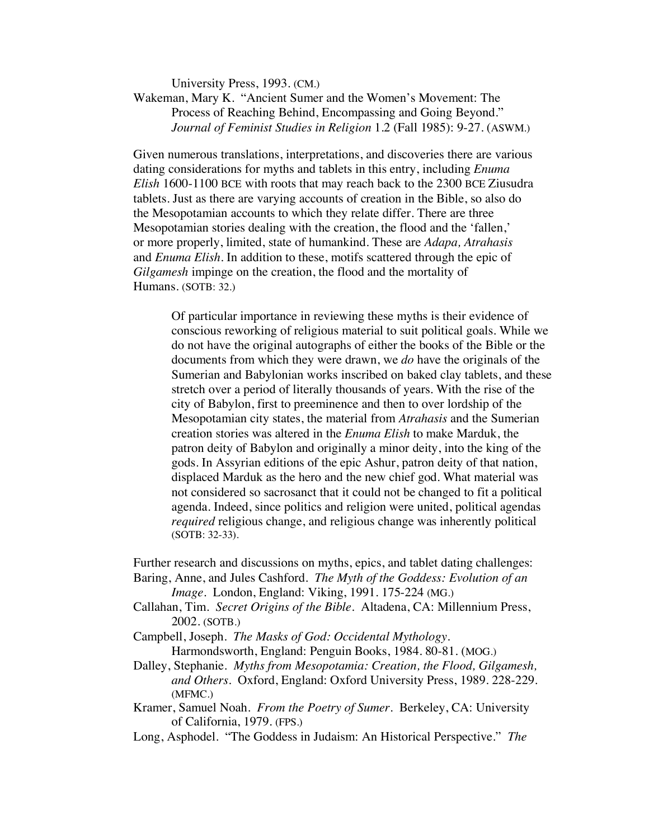University Press, 1993. (CM.)

Wakeman, Mary K. "Ancient Sumer and the Women's Movement: The Process of Reaching Behind, Encompassing and Going Beyond." *Journal of Feminist Studies in Religion* 1.2 (Fall 1985): 9-27. (ASWM.)

Given numerous translations, interpretations, and discoveries there are various dating considerations for myths and tablets in this entry, including *Enuma Elish* 1600-1100 BCE with roots that may reach back to the 2300 BCE Ziusudra tablets. Just as there are varying accounts of creation in the Bible, so also do the Mesopotamian accounts to which they relate differ. There are three Mesopotamian stories dealing with the creation, the flood and the 'fallen,' or more properly, limited, state of humankind. These are *Adapa, Atrahasis*  and *Enuma Elish.* In addition to these, motifs scattered through the epic of *Gilgamesh* impinge on the creation, the flood and the mortality of Humans. (SOTB: 32.)

Of particular importance in reviewing these myths is their evidence of conscious reworking of religious material to suit political goals. While we do not have the original autographs of either the books of the Bible or the documents from which they were drawn, we *do* have the originals of the Sumerian and Babylonian works inscribed on baked clay tablets, and these stretch over a period of literally thousands of years. With the rise of the city of Babylon, first to preeminence and then to over lordship of the Mesopotamian city states, the material from *Atrahasis* and the Sumerian creation stories was altered in the *Enuma Elish* to make Marduk, the patron deity of Babylon and originally a minor deity, into the king of the gods. In Assyrian editions of the epic Ashur, patron deity of that nation, displaced Marduk as the hero and the new chief god. What material was not considered so sacrosanct that it could not be changed to fit a political agenda. Indeed, since politics and religion were united, political agendas *required* religious change, and religious change was inherently political (SOTB: 32-33).

Further research and discussions on myths, epics, and tablet dating challenges: Baring, Anne, and Jules Cashford. *The Myth of the Goddess: Evolution of an* 

*Image*. London, England: Viking, 1991. 175-224 (MG.)

- Callahan, Tim. *Secret Origins of the Bible.* Altadena, CA: Millennium Press, 2002. (SOTB.)
- Campbell, Joseph. *The Masks of God: Occidental Mythology.* Harmondsworth, England: Penguin Books, 1984. 80-81. (MOG.)
- Dalley, Stephanie. *Myths from Mesopotamia: Creation, the Flood, Gilgamesh, and Others*. Oxford, England: Oxford University Press, 1989. 228-229. (MFMC.)
- Kramer, Samuel Noah. *From the Poetry of Sumer*. Berkeley, CA: University of California, 1979. (FPS.)
- Long, Asphodel. "The Goddess in Judaism: An Historical Perspective." *The*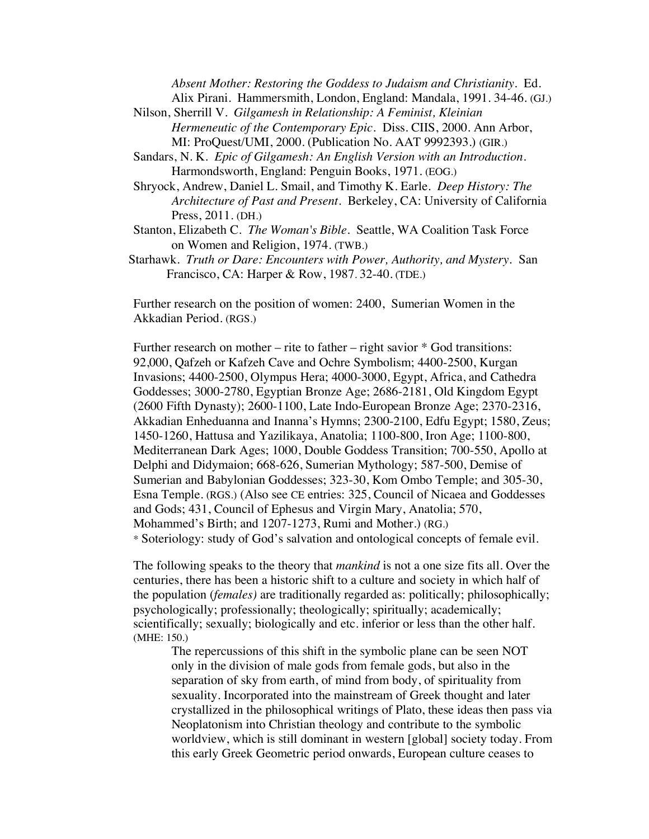*Absent Mother: Restoring the Goddess to Judaism and Christianity.* Ed. Alix Pirani. Hammersmith, London, England: Mandala, 1991. 34-46. (GJ.)

- Nilson, Sherrill V. *Gilgamesh in Relationship: A Feminist, Kleinian Hermeneutic of the Contemporary Epic.* Diss. CIIS, 2000. Ann Arbor, MI: ProQuest/UMI, 2000. (Publication No. AAT 9992393.) (GIR.)
- Sandars, N. K. *Epic of Gilgamesh: An English Version with an Introduction.* Harmondsworth, England: Penguin Books, 1971. (EOG.)
- Shryock, Andrew, Daniel L. Smail, and Timothy K. Earle. *Deep History: The Architecture of Past and Present*. Berkeley, CA: University of California Press, 2011. (DH.)
- Stanton, Elizabeth C. *The Woman's Bible*. Seattle, WA Coalition Task Force on Women and Religion, 1974. (TWB.)
- Starhawk. *Truth or Dare: Encounters with Power, Authority, and Mystery.* San Francisco, CA: Harper & Row, 1987. 32-40. (TDE.)

Further research on the position of women: 2400, Sumerian Women in the Akkadian Period. (RGS.)

Further research on mother – rite to father – right savior  $*$  God transitions: 92,000, Qafzeh or Kafzeh Cave and Ochre Symbolism; 4400-2500, Kurgan Invasions; 4400-2500, Olympus Hera; 4000-3000, Egypt, Africa, and Cathedra Goddesses; 3000-2780, Egyptian Bronze Age; 2686-2181, Old Kingdom Egypt (2600 Fifth Dynasty); 2600-1100, Late Indo-European Bronze Age; 2370-2316, Akkadian Enheduanna and Inanna's Hymns; 2300-2100, Edfu Egypt; 1580, Zeus; 1450-1260, Hattusa and Yazilikaya, Anatolia; 1100-800, Iron Age; 1100-800, Mediterranean Dark Ages; 1000, Double Goddess Transition; 700-550, Apollo at Delphi and Didymaion; 668-626, Sumerian Mythology; 587-500, Demise of Sumerian and Babylonian Goddesses; 323-30, Kom Ombo Temple; and 305-30, Esna Temple. (RGS.) (Also see CE entries: 325, Council of Nicaea and Goddesses and Gods; 431, Council of Ephesus and Virgin Mary, Anatolia; 570, Mohammed's Birth; and 1207-1273, Rumi and Mother.) (RG.) \* Soteriology: study of God's salvation and ontological concepts of female evil.

The following speaks to the theory that *mankind* is not a one size fits all. Over the centuries, there has been a historic shift to a culture and society in which half of the population (*females)* are traditionally regarded as: politically; philosophically; psychologically; professionally; theologically; spiritually; academically; scientifically; sexually; biologically and etc. inferior or less than the other half. (MHE: 150.)

The repercussions of this shift in the symbolic plane can be seen NOT only in the division of male gods from female gods, but also in the separation of sky from earth, of mind from body, of spirituality from sexuality. Incorporated into the mainstream of Greek thought and later crystallized in the philosophical writings of Plato, these ideas then pass via Neoplatonism into Christian theology and contribute to the symbolic worldview, which is still dominant in western [global] society today. From this early Greek Geometric period onwards, European culture ceases to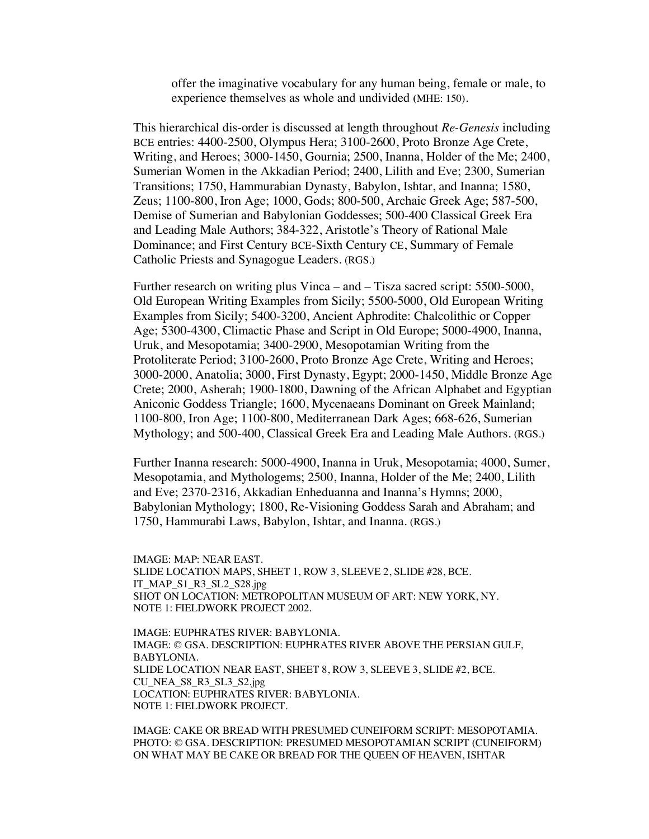offer the imaginative vocabulary for any human being, female or male, to experience themselves as whole and undivided **(**MHE: 150).

This hierarchical dis-order is discussed at length throughout *Re-Genesis* including BCE entries: 4400-2500, Olympus Hera; 3100-2600, Proto Bronze Age Crete, Writing, and Heroes; 3000-1450, Gournia; 2500, Inanna, Holder of the Me; 2400, Sumerian Women in the Akkadian Period; 2400, Lilith and Eve; 2300, Sumerian Transitions; 1750, Hammurabian Dynasty, Babylon, Ishtar, and Inanna; 1580, Zeus; 1100-800, Iron Age; 1000, Gods; 800-500, Archaic Greek Age; 587-500, Demise of Sumerian and Babylonian Goddesses; 500-400 Classical Greek Era and Leading Male Authors; 384-322, Aristotle's Theory of Rational Male Dominance; and First Century BCE-Sixth Century CE, Summary of Female Catholic Priests and Synagogue Leaders. (RGS.)

Further research on writing plus Vinca – and – Tisza sacred script: 5500-5000, Old European Writing Examples from Sicily; 5500-5000, Old European Writing Examples from Sicily; 5400-3200, Ancient Aphrodite: Chalcolithic or Copper Age; 5300-4300, Climactic Phase and Script in Old Europe; 5000-4900, Inanna, Uruk, and Mesopotamia; 3400-2900, Mesopotamian Writing from the Protoliterate Period; 3100-2600, Proto Bronze Age Crete, Writing and Heroes; 3000-2000, Anatolia; 3000, First Dynasty, Egypt; 2000-1450, Middle Bronze Age Crete; 2000, Asherah; 1900-1800, Dawning of the African Alphabet and Egyptian Aniconic Goddess Triangle; 1600, Mycenaeans Dominant on Greek Mainland; 1100-800, Iron Age; 1100-800, Mediterranean Dark Ages; 668-626, Sumerian Mythology; and 500-400, Classical Greek Era and Leading Male Authors. (RGS.)

Further Inanna research: 5000-4900, Inanna in Uruk, Mesopotamia; 4000, Sumer, Mesopotamia, and Mythologems; 2500, Inanna, Holder of the Me; 2400, Lilith and Eve; 2370-2316, Akkadian Enheduanna and Inanna's Hymns; 2000, Babylonian Mythology; 1800, Re-Visioning Goddess Sarah and Abraham; and 1750, Hammurabi Laws, Babylon, Ishtar, and Inanna. (RGS.)

IMAGE: MAP: NEAR EAST. SLIDE LOCATION MAPS, SHEET 1, ROW 3, SLEEVE 2, SLIDE #28, BCE. IT\_MAP\_S1\_R3\_SL2\_S28.jpg SHOT ON LOCATION: METROPOLITAN MUSEUM OF ART: NEW YORK, NY. NOTE 1: FIELDWORK PROJECT 2002.

IMAGE: EUPHRATES RIVER: BABYLONIA. IMAGE: © GSA. DESCRIPTION: EUPHRATES RIVER ABOVE THE PERSIAN GULF, BABYLONIA. SLIDE LOCATION NEAR EAST, SHEET 8, ROW 3, SLEEVE 3, SLIDE #2, BCE. CU\_NEA\_S8\_R3\_SL3\_S2.jpg LOCATION: EUPHRATES RIVER: BABYLONIA. NOTE 1: FIELDWORK PROJECT.

IMAGE: CAKE OR BREAD WITH PRESUMED CUNEIFORM SCRIPT: MESOPOTAMIA. PHOTO: © GSA. DESCRIPTION: PRESUMED MESOPOTAMIAN SCRIPT (CUNEIFORM) ON WHAT MAY BE CAKE OR BREAD FOR THE QUEEN OF HEAVEN, ISHTAR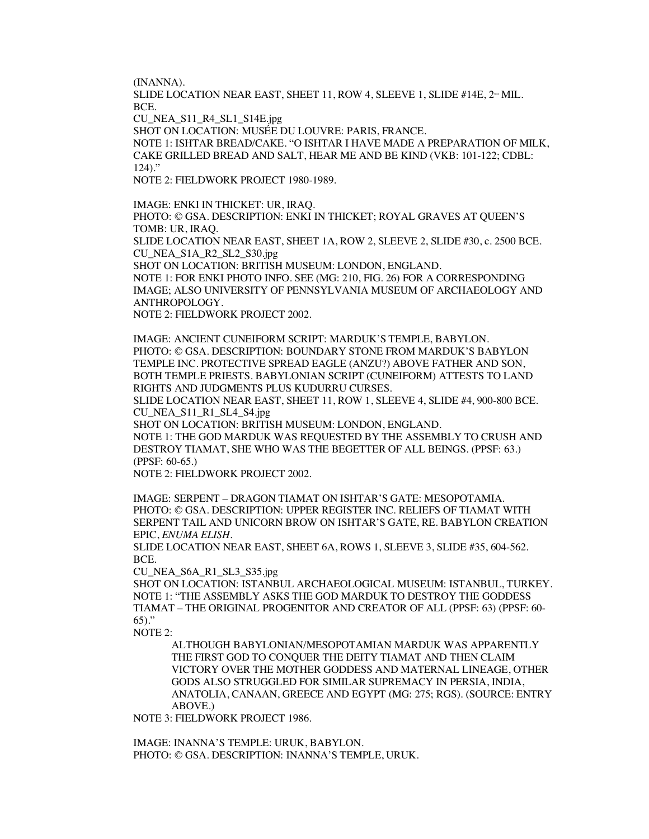(INANNA).

SLIDE LOCATION NEAR EAST, SHEET 11, ROW 4, SLEEVE 1, SLIDE  $#14E, 2^{\infty}$  MIL. BCE.

CU\_NEA\_S11\_R4\_SL1\_S14E.jpg

SHOT ON LOCATION: MUSÉE DU LOUVRE: PARIS, FRANCE.

NOTE 1: ISHTAR BREAD/CAKE. "O ISHTAR I HAVE MADE A PREPARATION OF MILK, CAKE GRILLED BREAD AND SALT, HEAR ME AND BE KIND (VKB: 101-122; CDBL:  $124$ )."

NOTE 2: FIELDWORK PROJECT 1980-1989.

IMAGE: ENKI IN THICKET: UR, IRAQ. PHOTO: © GSA. DESCRIPTION: ENKI IN THICKET; ROYAL GRAVES AT QUEEN'S TOMB: UR, IRAQ. SLIDE LOCATION NEAR EAST, SHEET 1A, ROW 2, SLEEVE 2, SLIDE #30, c. 2500 BCE. CU\_NEA\_S1A\_R2\_SL2\_S30.jpg SHOT ON LOCATION: BRITISH MUSEUM: LONDON, ENGLAND. NOTE 1: FOR ENKI PHOTO INFO. SEE (MG: 210, FIG. 26) FOR A CORRESPONDING IMAGE; ALSO UNIVERSITY OF PENNSYLVANIA MUSEUM OF ARCHAEOLOGY AND ANTHROPOLOGY. NOTE 2: FIELDWORK PROJECT 2002.

IMAGE: ANCIENT CUNEIFORM SCRIPT: MARDUK'S TEMPLE, BABYLON. PHOTO: © GSA. DESCRIPTION: BOUNDARY STONE FROM MARDUK'S BABYLON TEMPLE INC. PROTECTIVE SPREAD EAGLE (ANZU?) ABOVE FATHER AND SON, BOTH TEMPLE PRIESTS. BABYLONIAN SCRIPT (CUNEIFORM) ATTESTS TO LAND RIGHTS AND JUDGMENTS PLUS KUDURRU CURSES.

SLIDE LOCATION NEAR EAST, SHEET 11, ROW 1, SLEEVE 4, SLIDE #4, 900-800 BCE. CU\_NEA\_S11\_R1\_SL4\_S4.jpg

SHOT ON LOCATION: BRITISH MUSEUM: LONDON, ENGLAND. NOTE 1: THE GOD MARDUK WAS REQUESTED BY THE ASSEMBLY TO CRUSH AND DESTROY TIAMAT, SHE WHO WAS THE BEGETTER OF ALL BEINGS. (PPSF: 63.) (PPSF: 60-65.)

NOTE 2: FIELDWORK PROJECT 2002.

IMAGE: SERPENT – DRAGON TIAMAT ON ISHTAR'S GATE: MESOPOTAMIA. PHOTO: © GSA. DESCRIPTION: UPPER REGISTER INC. RELIEFS OF TIAMAT WITH SERPENT TAIL AND UNICORN BROW ON ISHTAR'S GATE, RE. BABYLON CREATION EPIC, *ENUMA ELISH*.

SLIDE LOCATION NEAR EAST, SHEET 6A, ROWS 1, SLEEVE 3, SLIDE #35, 604-562. BCE.

CU\_NEA\_S6A\_R1\_SL3\_S35.jpg

SHOT ON LOCATION: ISTANBUL ARCHAEOLOGICAL MUSEUM: ISTANBUL, TURKEY. NOTE 1: "THE ASSEMBLY ASKS THE GOD MARDUK TO DESTROY THE GODDESS TIAMAT – THE ORIGINAL PROGENITOR AND CREATOR OF ALL (PPSF: 63) (PPSF: 60- 65)."

NOTE 2:

ALTHOUGH BABYLONIAN/MESOPOTAMIAN MARDUK WAS APPARENTLY THE FIRST GOD TO CONQUER THE DEITY TIAMAT AND THEN CLAIM VICTORY OVER THE MOTHER GODDESS AND MATERNAL LINEAGE, OTHER GODS ALSO STRUGGLED FOR SIMILAR SUPREMACY IN PERSIA, INDIA, ANATOLIA, CANAAN, GREECE AND EGYPT (MG: 275; RGS). (SOURCE: ENTRY ABOVE.)

NOTE 3: FIELDWORK PROJECT 1986.

IMAGE: INANNA'S TEMPLE: URUK, BABYLON. PHOTO: © GSA. DESCRIPTION: INANNA'S TEMPLE, URUK.